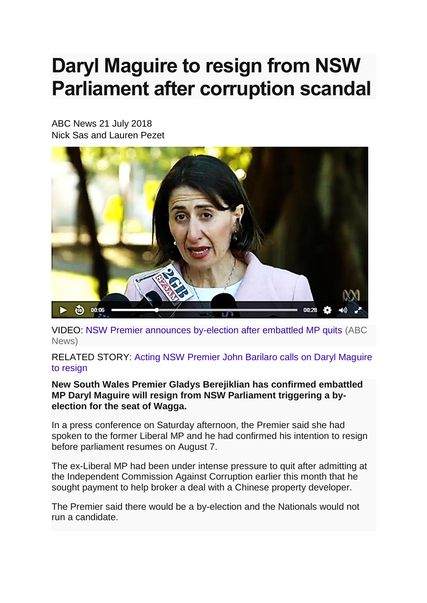## **Daryl Maguire to resign from NSW Parliament after corruption scandal**

ABC News 21 July 2018 Nick Sas and Lauren Pezet



VIDEO: [NSW Premier announces by-election after embattled MP quits](http://www.abc.net.au/news/2018-07-21/nsw-premier-announces-by-election-after-embattled-mp-quits/10021270) (ABC [News\)](http://www.abc.net.au/news/2018-07-21/nsw-premier-announces-by-election-after-embattled-mp-quits/10021270)

RELATED STORY: [Acting NSW Premier John Barilaro calls on Daryl Maguire](http://www.abc.net.au/news/2018-07-18/daryl-maguire-nsw-labor-promises-to-use-expulsion-motion/10007900)  [to resign](http://www.abc.net.au/news/2018-07-18/daryl-maguire-nsw-labor-promises-to-use-expulsion-motion/10007900)

**New South Wales Premier Gladys Berejiklian has confirmed embattled MP Daryl Maguire will resign from NSW Parliament triggering a byelection for the seat of Wagga.**

In a press conference on Saturday afternoon, the Premier said she had spoken to the former Liberal MP and he had confirmed his intention to resign before parliament resumes on August 7.

The ex-Liberal MP had been under intense pressure to quit after admitting at the Independent Commission Against Corruption earlier this month that he sought payment to help broker a deal with a Chinese property developer.

The Premier said there would be a by-election and the Nationals would not run a candidate.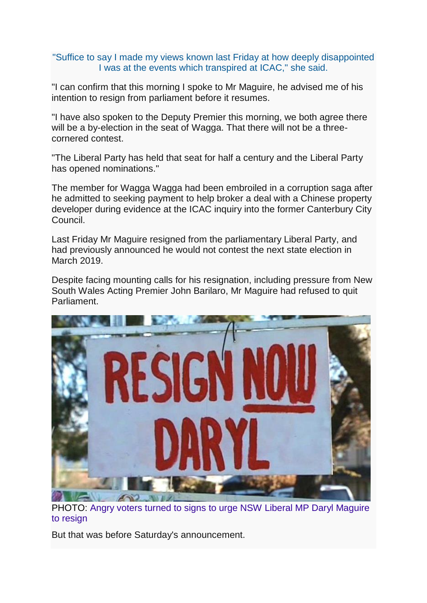## "Suffice to say I made my views known last Friday at how deeply disappointed I was at the events which transpired at ICAC," she said.

"I can confirm that this morning I spoke to Mr Maguire, he advised me of his intention to resign from parliament before it resumes.

"I have also spoken to the Deputy Premier this morning, we both agree there will be a by-election in the seat of Wagga. That there will not be a threecornered contest.

"The Liberal Party has held that seat for half a century and the Liberal Party has opened nominations."

The member for Wagga Wagga had been embroiled in a corruption saga after he admitted to seeking payment to help broker a deal with a Chinese property developer during evidence at the ICAC inquiry into the former Canterbury City Council.

Last Friday Mr Maguire resigned from the parliamentary Liberal Party, and had previously announced he would not contest the next state election in March 2019.

Despite facing mounting calls for his resignation, including pressure from New South Wales Acting Premier John Barilaro, Mr Maguire had refused to quit Parliament.



PHOTO: [Angry voters turned to signs to urge NSW Liberal MP Daryl Maguire](http://www.abc.net.au/news/2018-07-21/daryl-maguire-urged-to-quit-over-corruption-allegations/10021264)  [to resign](http://www.abc.net.au/news/2018-07-21/daryl-maguire-urged-to-quit-over-corruption-allegations/10021264)

But that was before Saturday's announcement.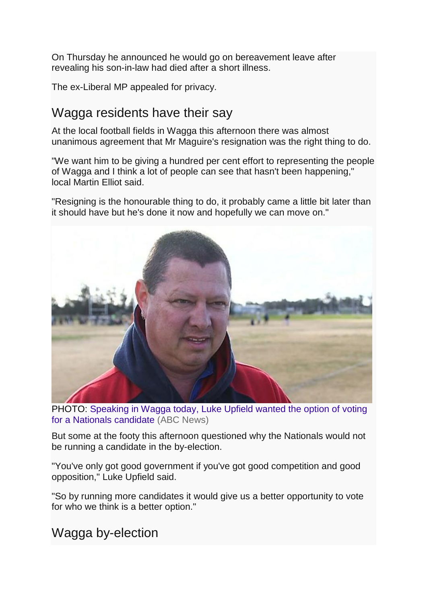On Thursday he announced he would go on bereavement leave after revealing his son-in-law had died after a short illness.

The ex-Liberal MP appealed for privacy.

## Wagga residents have their say

At the local football fields in Wagga this afternoon there was almost unanimous agreement that Mr Maguire's resignation was the right thing to do.

"We want him to be giving a hundred per cent effort to representing the people of Wagga and I think a lot of people can see that hasn't been happening," local Martin Elliot said.

"Resigning is the honourable thing to do, it probably came a little bit later than it should have but he's done it now and hopefully we can move on."



PHOTO: [Speaking in Wagga today, Luke Upfield wanted the option of voting](http://www.abc.net.au/news/2018-07-21/luke-upfield/10021428)  [for a Nationals candidate](http://www.abc.net.au/news/2018-07-21/luke-upfield/10021428) (ABC News)

But some at the footy this afternoon questioned why the Nationals would not be running a candidate in the by-election.

"You've only got good government if you've got good competition and good opposition," Luke Upfield said.

"So by running more candidates it would give us a better opportunity to vote for who we think is a better option."

Wagga by-election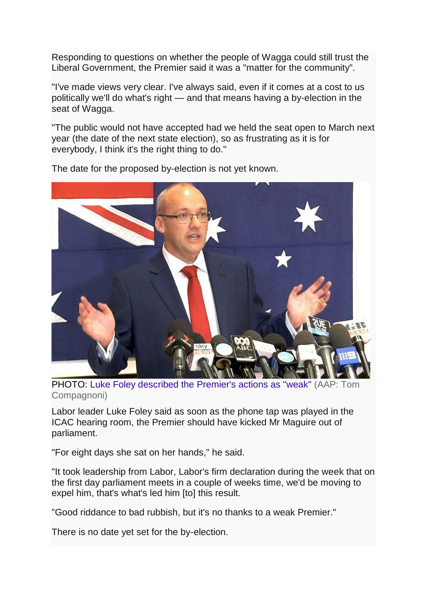Responding to questions on whether the people of Wagga could still trust the Liberal Government, the Premier said it was a "matter for the community".

"I've made views very clear. I've always said, even if it comes at a cost to us politically we'll do what's right — and that means having a by-election in the seat of Wagga.

"The public would not have accepted had we held the seat open to March next year (the date of the next state election), so as frustrating as it is for everybody, I think it's the right thing to do."



The date for the proposed by-election is not yet known.

PHOTO: [Luke Foley described the Premier's actions as "weak"](http://www.abc.net.au/news/2018-07-21/nsw-labor-leader-luke-foley/10021366) (AAP: Tom [Compagnoni\)](http://www.abc.net.au/news/2018-07-21/nsw-labor-leader-luke-foley/10021366)

Labor leader Luke Foley said as soon as the phone tap was played in the ICAC hearing room, the Premier should have kicked Mr Maguire out of parliament.

"For eight days she sat on her hands," he said.

"It took leadership from Labor, Labor's firm declaration during the week that on the first day parliament meets in a couple of weeks time, we'd be moving to expel him, that's what's led him [to] this result.

"Good riddance to bad rubbish, but it's no thanks to a weak Premier."

There is no date yet set for the by-election.